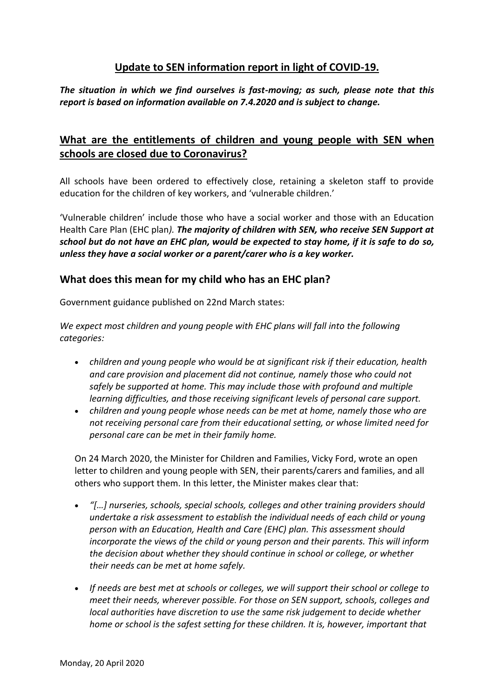## **Update to SEN information report in light of COVID-19.**

*The situation in which we find ourselves is fast-moving; as such, please note that this report is based on information available on 7.4.2020 and is subject to change.*

## **What are the entitlements of children and young people with SEN when schools are closed due to Coronavirus?**

All schools have been ordered to effectively close, retaining a skeleton staff to provide education for the children of key workers, and 'vulnerable children.'

'Vulnerable children' include those who have a social worker and those with an Education Health Care Plan (EHC plan*). The majority of children with SEN, who receive SEN Support at school but do not have an EHC plan, would be expected to stay home, if it is safe to do so, unless they have a social worker or a parent/carer who is a key worker.*

### **What does this mean for my child who has an EHC plan?**

Government guidance published on 22nd March states:

We expect most children and young people with EHC plans will fall into the following *categories:*

- *children and young people who would be at significant risk if their education, health and care provision and placement did not continue, namely those who could not safely be supported at home. This may include those with profound and multiple learning difficulties, and those receiving significant levels of personal care support.*
- *children and young people whose needs can be met at home, namely those who are not receiving personal care from their educational setting, or whose limited need for personal care can be met in their family home.*

On 24 March 2020, the Minister for Children and Families, Vicky Ford, wrote an open letter to children and young people with SEN, their parents/carers and families, and all others who support them. In this letter, the Minister makes clear that:

- *"[…] nurseries, schools, special schools, colleges and other training providers should undertake a risk assessment to establish the individual needs of each child or young person with an Education, Health and Care (EHC) plan. This assessment should incorporate the views of the child or young person and their parents. This will inform the decision about whether they should continue in school or college, or whether their needs can be met at home safely.*
- *If needs are best met at schools or colleges, we will support their school or college to meet their needs, wherever possible. For those on SEN support, schools, colleges and local authorities have discretion to use the same risk judgement to decide whether home or school is the safest setting for these children. It is, however, important that*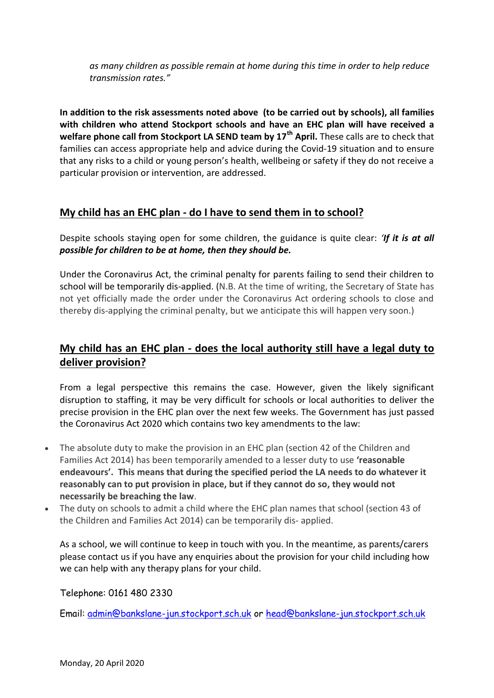*as many children as possible remain at home during this time in order to help reduce transmission rates."*

**In addition to the risk assessments noted above (to be carried out by schools), all families with children who attend Stockport schools and have an EHC plan will have received a welfare phone call from Stockport LA SEND team by 17th April.** These calls are to check that families can access appropriate help and advice during the Covid-19 situation and to ensure that any risks to a child or young person's health, wellbeing or safety if they do not receive a particular provision or intervention, are addressed.

## **My child has an EHC plan - do I have to send them in to school?**

Despite schools staying open for some children, the guidance is quite clear: *'If it is at all possible for children to be at home, then they should be.*

Under the Coronavirus Act, the criminal penalty for parents failing to send their children to school will be temporarily dis-applied. (N.B. At the time of writing, the Secretary of State has not yet officially made the order under the Coronavirus Act ordering schools to close and thereby dis-applying the criminal penalty, but we anticipate this will happen very soon.)

# **My child has an EHC plan - does the local authority still have a legal duty to deliver provision?**

From a legal perspective this remains the case. However, given the likely significant disruption to staffing, it may be very difficult for schools or local authorities to deliver the precise provision in the EHC plan over the next few weeks. The Government has just passed the Coronavirus Act 2020 which contains two key amendments to the law:

- The absolute duty to make the provision in an EHC plan (section 42 of the Children and Families Act 2014) has been temporarily amended to a lesser duty to use **'reasonable endeavours'. This means that during the specified period the LA needs to do whatever it reasonably can to put provision in place, but if they cannot do so, they would not necessarily be breaching the law**.
- The duty on schools to admit a child where the EHC plan names that school (section 43 of the Children and Families Act 2014) can be temporarily dis- applied.

As a school, we will continue to keep in touch with you. In the meantime, as parents/carers please contact us if you have any enquiries about the provision for your child including how we can help with any therapy plans for your child.

Telephone: 0161 480 2330

Email: [admin@bankslane-jun.stockport.sch.uk](mailto:admin@bankslane-jun.stockport.sch.uk) or [head@bankslane-jun.stockport.sch.uk](mailto:head@bankslane-jun.stockport.sch.uk)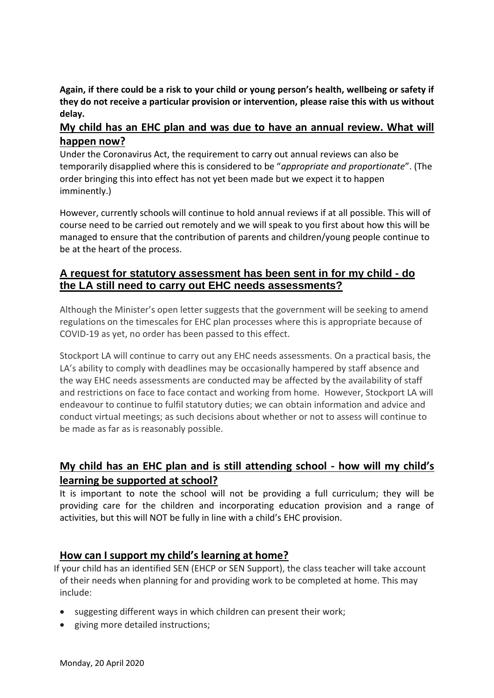**Again, if there could be a risk to your child or young person's health, wellbeing or safety if they do not receive a particular provision or intervention, please raise this with us without delay.**

### **My child has an EHC plan and was due to have an annual review. What will happen now?**

Under the Coronavirus Act, the requirement to carry out annual reviews can also be temporarily disapplied where this is considered to be "*appropriate and proportionate*". (The order bringing this into effect has not yet been made but we expect it to happen imminently.)

However, currently schools will continue to hold annual reviews if at all possible. This will of course need to be carried out remotely and we will speak to you first about how this will be managed to ensure that the contribution of parents and children/young people continue to be at the heart of the process.

## **A request for statutory assessment has been sent in for my child - do the LA still need to carry out EHC needs assessments?**

Although the Minister's open letter suggests that the government will be seeking to amend regulations on the timescales for EHC plan processes where this is appropriate because of COVID-19 as yet, no order has been passed to this effect.

Stockport LA will continue to carry out any EHC needs assessments. On a practical basis, the LA's ability to comply with deadlines may be occasionally hampered by staff absence and the way EHC needs assessments are conducted may be affected by the availability of staff and restrictions on face to face contact and working from home. However, Stockport LA will endeavour to continue to fulfil statutory duties; we can obtain information and advice and conduct virtual meetings; as such decisions about whether or not to assess will continue to be made as far as is reasonably possible.

# **My child has an EHC plan and is still attending school - how will my child's learning be supported at school?**

It is important to note the school will not be providing a full curriculum; they will be providing care for the children and incorporating education provision and a range of activities, but this will NOT be fully in line with a child's EHC provision.

### **How can I support my child's learning at home?**

 If your child has an identified SEN (EHCP or SEN Support), the class teacher will take account of their needs when planning for and providing work to be completed at home. This may include:

- suggesting different ways in which children can present their work;
- giving more detailed instructions;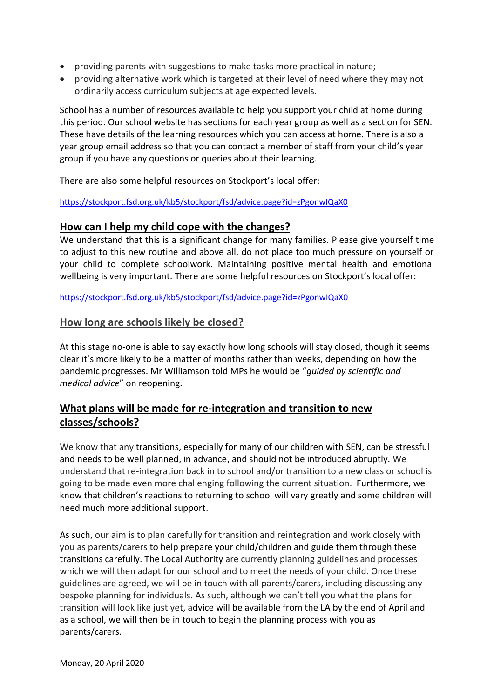- providing parents with suggestions to make tasks more practical in nature;
- providing alternative work which is targeted at their level of need where they may not ordinarily access curriculum subjects at age expected levels.

School has a number of resources available to help you support your child at home during this period. Our school website has sections for each year group as well as a section for SEN. These have details of the learning resources which you can access at home. There is also a year group email address so that you can contact a member of staff from your child's year group if you have any questions or queries about their learning.

There are also some helpful resources on Stockport's local offer:

<https://stockport.fsd.org.uk/kb5/stockport/fsd/advice.page?id=zPgonwIQaX0>

#### **How can I help my child cope with the changes?**

We understand that this is a significant change for many families. Please give yourself time to adjust to this new routine and above all, do not place too much pressure on yourself or your child to complete schoolwork. Maintaining positive mental health and emotional wellbeing is very important. There are some helpful resources on Stockport's local offer:

<https://stockport.fsd.org.uk/kb5/stockport/fsd/advice.page?id=zPgonwIQaX0>

### **How long are schools likely be closed?**

At this stage no-one is able to say exactly how long schools will stay closed, though it seems clear it's more likely to be a matter of months rather than weeks, depending on how the pandemic progresses. Mr Williamson told MPs he would be "*guided by scientific and medical advice*" on reopening.

## **What plans will be made for re-integration and transition to new classes/schools?**

We know that any transitions, especially for many of our children with SEN, can be stressful and needs to be well planned, in advance, and should not be introduced abruptly. We understand that re-integration back in to school and/or transition to a new class or school is going to be made even more challenging following the current situation. Furthermore, we know that children's reactions to returning to school will vary greatly and some children will need much more additional support.

As such, our aim is to plan carefully for transition and reintegration and work closely with you as parents/carers to help prepare your child/children and guide them through these transitions carefully. The Local Authority are currently planning guidelines and processes which we will then adapt for our school and to meet the needs of your child. Once these guidelines are agreed, we will be in touch with all parents/carers, including discussing any bespoke planning for individuals. As such, although we can't tell you what the plans for transition will look like just yet, advice will be available from the LA by the end of April and as a school, we will then be in touch to begin the planning process with you as parents/carers.